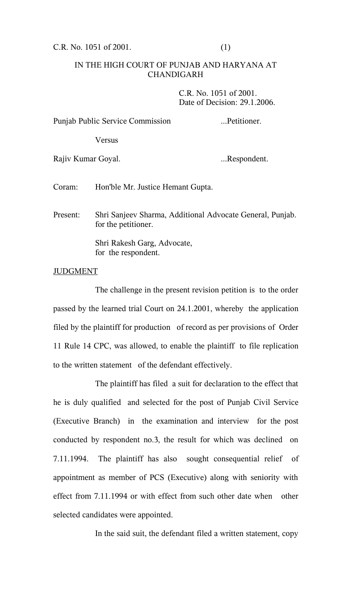C.R. No. 1051 of 2001. (1)

## IN THE HIGH COURT OF PUNJAB AND HARYANA AT CHANDIGARH

C.R. No. 1051 of 2001. Date of Decision: 29.1.2006.

Punjab Public Service Commission ...Petitioner. Versus Rajiv Kumar Goyal. ...Respondent.

Coram: Hon'ble Mr. Justice Hemant Gupta.

Present: Shri Sanjeev Sharma, Additional Advocate General, Punjab. for the petitioner.

> Shri Rakesh Garg, Advocate, for the respondent.

## JUDGMENT

The challenge in the present revision petition is to the order passed by the learned trial Court on 24.1.2001, whereby the application filed by the plaintiff for production of record as per provisions of Order 11 Rule 14 CPC, was allowed, to enable the plaintiff to file replication to the written statement of the defendant effectively.

The plaintiff has filed a suit for declaration to the effect that he is duly qualified and selected for the post of Punjab Civil Service (Executive Branch) in the examination and interview for the post conducted by respondent no.3, the result for which was declined on 7.11.1994. The plaintiff has also sought consequential relief of appointment as member of PCS (Executive) along with seniority with effect from 7.11.1994 or with effect from such other date when other selected candidates were appointed.

In the said suit, the defendant filed a written statement, copy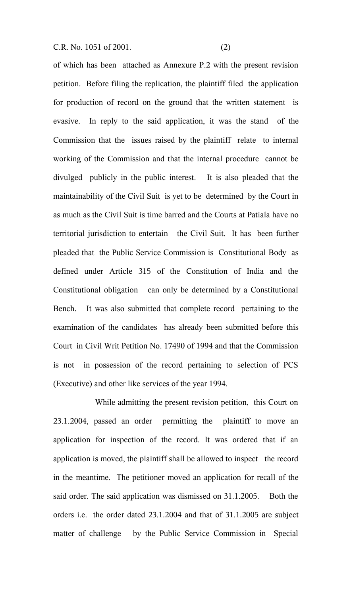C.R. No. 1051 of 2001. (2)

of which has been attached as Annexure P.2 with the present revision petition. Before filing the replication, the plaintiff filed the application for production of record on the ground that the written statement is evasive. In reply to the said application, it was the stand of the Commission that the issues raised by the plaintiff relate to internal working of the Commission and that the internal procedure cannot be divulged publicly in the public interest. It is also pleaded that the maintainability of the Civil Suit is yet to be determined by the Court in as much as the Civil Suit is time barred and the Courts at Patiala have no territorial jurisdiction to entertain the Civil Suit. It has been further pleaded that the Public Service Commission is Constitutional Body as defined under Article 315 of the Constitution of India and the Constitutional obligation can only be determined by a Constitutional Bench. It was also submitted that complete record pertaining to the examination of the candidates has already been submitted before this Court in Civil Writ Petition No. 17490 of 1994 and that the Commission is not in possession of the record pertaining to selection of PCS (Executive) and other like services of the year 1994.

While admitting the present revision petition, this Court on 23.1.2004, passed an order permitting the plaintiff to move an application for inspection of the record. It was ordered that if an application is moved, the plaintiff shall be allowed to inspect the record in the meantime. The petitioner moved an application for recall of the said order. The said application was dismissed on 31.1.2005. Both the orders i.e. the order dated 23.1.2004 and that of 31.1.2005 are subject matter of challenge by the Public Service Commission in Special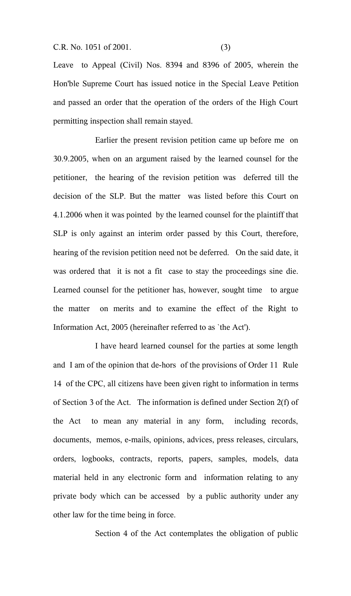C.R. No. 1051 of 2001. (3)

Leave to Appeal (Civil) Nos. 8394 and 8396 of 2005, wherein the Hon'ble Supreme Court has issued notice in the Special Leave Petition and passed an order that the operation of the orders of the High Court permitting inspection shall remain stayed.

Earlier the present revision petition came up before me on 30.9.2005, when on an argument raised by the learned counsel for the petitioner, the hearing of the revision petition was deferred till the decision of the SLP. But the matter was listed before this Court on 4.1.2006 when it was pointed by the learned counsel for the plaintiff that SLP is only against an interim order passed by this Court, therefore, hearing of the revision petition need not be deferred. On the said date, it was ordered that it is not a fit case to stay the proceedings sine die. Learned counsel for the petitioner has, however, sought time to argue the matter on merits and to examine the effect of the Right to Information Act, 2005 (hereinafter referred to as `the Act').

I have heard learned counsel for the parties at some length and I am of the opinion that de-hors of the provisions of Order 11 Rule 14 of the CPC, all citizens have been given right to information in terms of Section 3 of the Act. The information is defined under Section 2(f) of the Act to mean any material in any form, including records, documents, memos, e-mails, opinions, advices, press releases, circulars, orders, logbooks, contracts, reports, papers, samples, models, data material held in any electronic form and information relating to any private body which can be accessed by a public authority under any other law for the time being in force.

Section 4 of the Act contemplates the obligation of public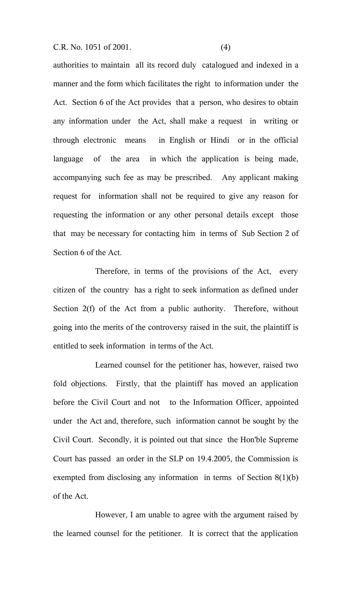C.R. No. 1051 of 2001. (4)

authorities to maintain all its record duly catalogued and indexed in a manner and the form which facilitates the right to information under the Act. Section 6 of the Act provides that a person, who desires to obtain any information under the Act, shall make a request in writing or through electronic means in English or Hindi or in the official language of the area in which the application is being made, accompanying such fee as may be prescribed. Any applicant making request for information shall not be required to give any reason for requesting the information or any other personal details except those that may be necessary for contacting him in terms of Sub Section 2 of Section 6 of the Act.

Therefore, in terms of the provisions of the Act, every citizen of the country has a right to seek information as defined under Section 2(f) of the Act from a public authority. Therefore, without going into the merits of the controversy raised in the suit, the plaintiff is entitled to seek information in terms of the Act.

Learned counsel for the petitioner has, however, raised two fold objections. Firstly, that the plaintiff has moved an application before the Civil Court and not to the Information Officer, appointed under the Act and, therefore, such information cannot be sought by the Civil Court. Secondly, it is pointed out that since the Hon'ble Supreme Court has passed an order in the SLP on 19.4.2005, the Commission is exempted from disclosing any information in terms of Section 8(1)(b) of the Act.

However, I am unable to agree with the argument raised by the learned counsel for the petitioner. It is correct that the application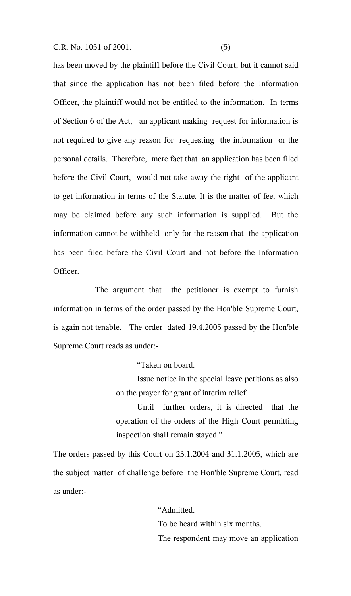C.R. No. 1051 of 2001. (5)

has been moved by the plaintiff before the Civil Court, but it cannot said that since the application has not been filed before the Information Officer, the plaintiff would not be entitled to the information. In terms of Section 6 of the Act, an applicant making request for information is not required to give any reason for requesting the information or the personal details. Therefore, mere fact that an application has been filed before the Civil Court, would not take away the right of the applicant to get information in terms of the Statute. It is the matter of fee, which may be claimed before any such information is supplied. But the information cannot be withheld only for the reason that the application has been filed before the Civil Court and not before the Information Officer.

The argument that the petitioner is exempt to furnish information in terms of the order passed by the Hon'ble Supreme Court, is again not tenable. The order dated 19.4.2005 passed by the Hon'ble Supreme Court reads as under:-

"Taken on board.

Issue notice in the special leave petitions as also on the prayer for grant of interim relief.

Until further orders, it is directed that the operation of the orders of the High Court permitting inspection shall remain stayed."

The orders passed by this Court on 23.1.2004 and 31.1.2005, which are the subject matter of challenge before the Hon'ble Supreme Court, read as under:-

> "Admitted. To be heard within six months. The respondent may move an application